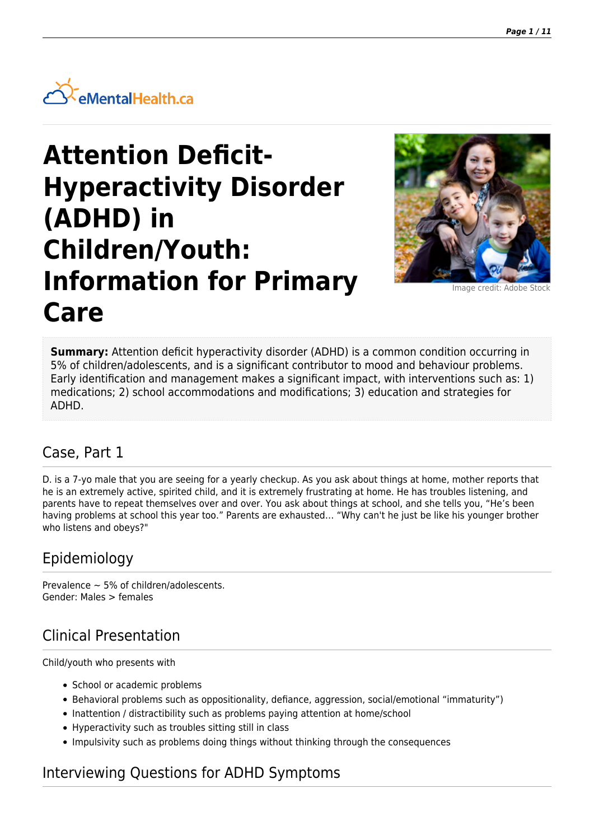

# **Attention Deficit-Hyperactivity Disorder (ADHD) in Children/Youth: Information for Primary Care**



Image credit: Adobe St

**Summary:** Attention deficit hyperactivity disorder (ADHD) is a common condition occurring in 5% of children/adolescents, and is a significant contributor to mood and behaviour problems. Early identification and management makes a significant impact, with interventions such as: 1) medications; 2) school accommodations and modifications; 3) education and strategies for ADHD.

### Case, Part 1

D. is a 7-yo male that you are seeing for a yearly checkup. As you ask about things at home, mother reports that he is an extremely active, spirited child, and it is extremely frustrating at home. He has troubles listening, and parents have to repeat themselves over and over. You ask about things at school, and she tells you, "He's been having problems at school this year too." Parents are exhausted… "Why can't he just be like his younger brother who listens and obeys?"

### Epidemiology

Prevalence  $\sim$  5% of children/adolescents. Gender: Males > females

# Clinical Presentation

Child/youth who presents with

- School or academic problems
- Behavioral problems such as oppositionality, defiance, aggression, social/emotional "immaturity")
- Inattention / distractibility such as problems paying attention at home/school
- Hyperactivity such as troubles sitting still in class
- Impulsivity such as problems doing things without thinking through the consequences

### Interviewing Questions for ADHD Symptoms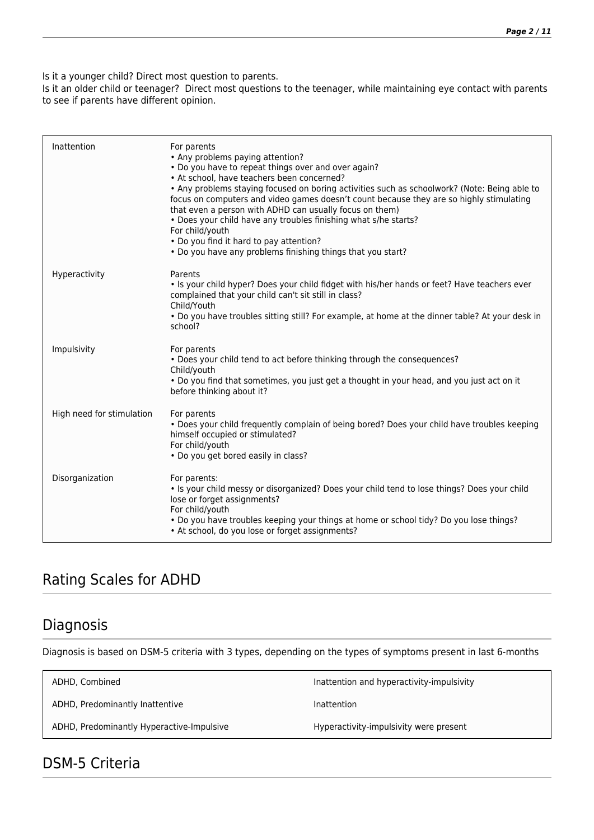Is it a younger child? Direct most question to parents.

Is it an older child or teenager? Direct most questions to the teenager, while maintaining eye contact with parents to see if parents have different opinion.

| Inattention               | For parents<br>• Any problems paying attention?<br>• Do you have to repeat things over and over again?<br>• At school, have teachers been concerned?<br>. Any problems staying focused on boring activities such as schoolwork? (Note: Being able to<br>focus on computers and video games doesn't count because they are so highly stimulating<br>that even a person with ADHD can usually focus on them)<br>. Does your child have any troubles finishing what s/he starts?<br>For child/youth<br>• Do you find it hard to pay attention?<br>. Do you have any problems finishing things that you start? |
|---------------------------|------------------------------------------------------------------------------------------------------------------------------------------------------------------------------------------------------------------------------------------------------------------------------------------------------------------------------------------------------------------------------------------------------------------------------------------------------------------------------------------------------------------------------------------------------------------------------------------------------------|
| Hyperactivity             | Parents<br>. Is your child hyper? Does your child fidget with his/her hands or feet? Have teachers ever<br>complained that your child can't sit still in class?<br>Child/Youth<br>. Do you have troubles sitting still? For example, at home at the dinner table? At your desk in<br>school?                                                                                                                                                                                                                                                                                                               |
| Impulsivity               | For parents<br>. Does your child tend to act before thinking through the consequences?<br>Child/youth<br>. Do you find that sometimes, you just get a thought in your head, and you just act on it<br>before thinking about it?                                                                                                                                                                                                                                                                                                                                                                            |
| High need for stimulation | For parents<br>• Does your child frequently complain of being bored? Does your child have troubles keeping<br>himself occupied or stimulated?<br>For child/youth<br>• Do you get bored easily in class?                                                                                                                                                                                                                                                                                                                                                                                                    |
| Disorganization           | For parents:<br>. Is your child messy or disorganized? Does your child tend to lose things? Does your child<br>lose or forget assignments?<br>For child/youth<br>. Do you have troubles keeping your things at home or school tidy? Do you lose things?<br>• At school, do you lose or forget assignments?                                                                                                                                                                                                                                                                                                 |

### Rating Scales for ADHD

### Diagnosis

Diagnosis is based on DSM-5 criteria with 3 types, depending on the types of symptoms present in last 6-months

| ADHD, Combined                            | Inattention and hyperactivity-impulsivity |
|-------------------------------------------|-------------------------------------------|
| ADHD, Predominantly Inattentive           | Inattention                               |
| ADHD, Predominantly Hyperactive-Impulsive | Hyperactivity-impulsivity were present    |
|                                           |                                           |

## DSM-5 Criteria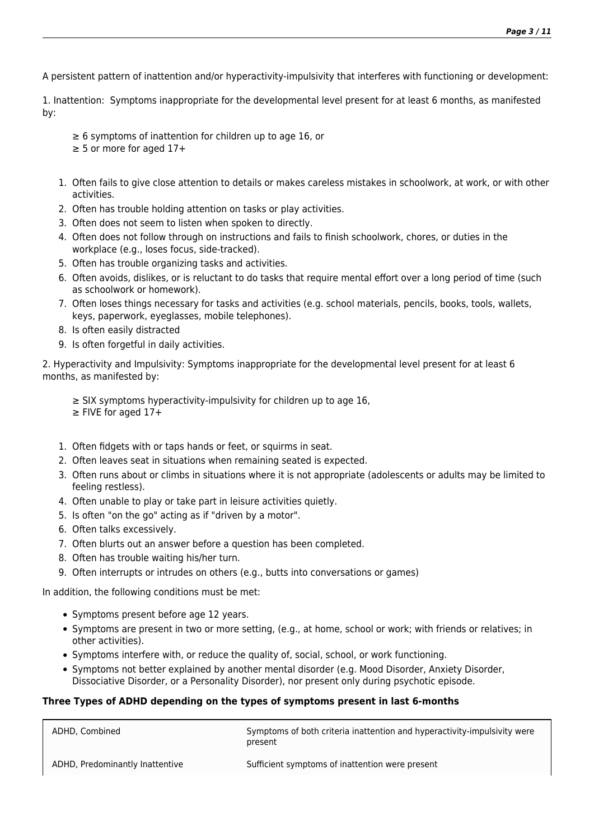A persistent pattern of inattention and/or hyperactivity-impulsivity that interferes with functioning or development:

1. Inattention: Symptoms inappropriate for the developmental level present for at least 6 months, as manifested by:

- ≥ 6 symptoms of inattention for children up to age 16, or  $\geq$  5 or more for aged 17+
- 1. Often fails to give close attention to details or makes careless mistakes in schoolwork, at work, or with other activities.
- 2. Often has trouble holding attention on tasks or play activities.
- 3. Often does not seem to listen when spoken to directly.
- 4. Often does not follow through on instructions and fails to finish schoolwork, chores, or duties in the workplace (e.g., loses focus, side-tracked).
- 5. Often has trouble organizing tasks and activities.
- 6. Often avoids, dislikes, or is reluctant to do tasks that require mental effort over a long period of time (such as schoolwork or homework).
- 7. Often loses things necessary for tasks and activities (e.g. school materials, pencils, books, tools, wallets, keys, paperwork, eyeglasses, mobile telephones).
- 8. Is often easily distracted
- 9. Is often forgetful in daily activities.

2. Hyperactivity and Impulsivity: Symptoms inappropriate for the developmental level present for at least 6 months, as manifested by:

- ≥ SIX symptoms hyperactivity-impulsivity for children up to age 16,
- ≥ FIVE for aged 17+
- 1. Often fidgets with or taps hands or feet, or squirms in seat.
- 2. Often leaves seat in situations when remaining seated is expected.
- 3. Often runs about or climbs in situations where it is not appropriate (adolescents or adults may be limited to feeling restless).
- 4. Often unable to play or take part in leisure activities quietly.
- 5. Is often "on the go" acting as if "driven by a motor".
- 6. Often talks excessively.
- 7. Often blurts out an answer before a question has been completed.
- 8. Often has trouble waiting his/her turn.
- 9. Often interrupts or intrudes on others (e.g., butts into conversations or games)

In addition, the following conditions must be met:

- Symptoms present before age 12 years.
- Symptoms are present in two or more setting, (e.g., at home, school or work; with friends or relatives; in other activities).
- Symptoms interfere with, or reduce the quality of, social, school, or work functioning.
- Symptoms not better explained by another mental disorder (e.g. Mood Disorder, Anxiety Disorder, Dissociative Disorder, or a Personality Disorder), nor present only during psychotic episode.

#### **Three Types of ADHD depending on the types of symptoms present in last 6-months**

| ADHD. Combined                  | Symptoms of both criteria inattention and hyperactivity-impulsivity were<br>present |
|---------------------------------|-------------------------------------------------------------------------------------|
| ADHD, Predominantly Inattentive | Sufficient symptoms of inattention were present                                     |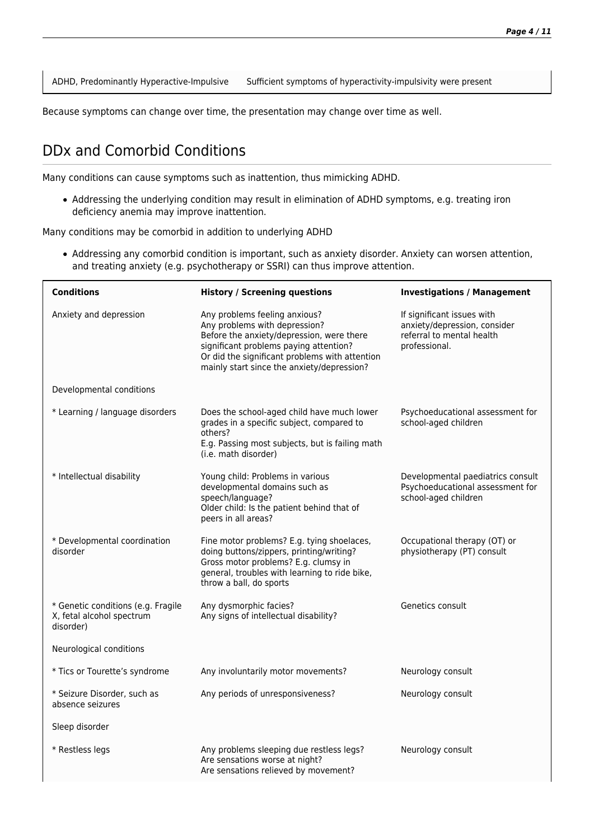ADHD, Predominantly Hyperactive-Impulsive Sufficient symptoms of hyperactivity-impulsivity were present

Because symptoms can change over time, the presentation may change over time as well.

### DDx and Comorbid Conditions

Many conditions can cause symptoms such as inattention, thus mimicking ADHD.

Addressing the underlying condition may result in elimination of ADHD symptoms, e.g. treating iron deficiency anemia may improve inattention.

Many conditions may be comorbid in addition to underlying ADHD

Addressing any comorbid condition is important, such as anxiety disorder. Anxiety can worsen attention, and treating anxiety (e.g. psychotherapy or SSRI) can thus improve attention.

| <b>Conditions</b>                                                            | <b>History / Screening questions</b>                                                                                                                                                                                                                  | <b>Investigations / Management</b>                                                                       |
|------------------------------------------------------------------------------|-------------------------------------------------------------------------------------------------------------------------------------------------------------------------------------------------------------------------------------------------------|----------------------------------------------------------------------------------------------------------|
| Anxiety and depression                                                       | Any problems feeling anxious?<br>Any problems with depression?<br>Before the anxiety/depression, were there<br>significant problems paying attention?<br>Or did the significant problems with attention<br>mainly start since the anxiety/depression? | If significant issues with<br>anxiety/depression, consider<br>referral to mental health<br>professional. |
| Developmental conditions                                                     |                                                                                                                                                                                                                                                       |                                                                                                          |
| * Learning / language disorders                                              | Does the school-aged child have much lower<br>grades in a specific subject, compared to<br>others?<br>E.g. Passing most subjects, but is failing math<br>(i.e. math disorder)                                                                         | Psychoeducational assessment for<br>school-aged children                                                 |
| * Intellectual disability                                                    | Young child: Problems in various<br>developmental domains such as<br>speech/language?<br>Older child: Is the patient behind that of<br>peers in all areas?                                                                                            | Developmental paediatrics consult<br>Psychoeducational assessment for<br>school-aged children            |
| * Developmental coordination<br>disorder                                     | Fine motor problems? E.g. tying shoelaces,<br>doing buttons/zippers, printing/writing?<br>Gross motor problems? E.g. clumsy in<br>general, troubles with learning to ride bike,<br>throw a ball, do sports                                            | Occupational therapy (OT) or<br>physiotherapy (PT) consult                                               |
| * Genetic conditions (e.g. Fragile<br>X, fetal alcohol spectrum<br>disorder) | Any dysmorphic facies?<br>Any signs of intellectual disability?                                                                                                                                                                                       | Genetics consult                                                                                         |
| Neurological conditions                                                      |                                                                                                                                                                                                                                                       |                                                                                                          |
| * Tics or Tourette's syndrome                                                | Any involuntarily motor movements?                                                                                                                                                                                                                    | Neurology consult                                                                                        |
| * Seizure Disorder, such as<br>absence seizures                              | Any periods of unresponsiveness?                                                                                                                                                                                                                      | Neurology consult                                                                                        |
| Sleep disorder                                                               |                                                                                                                                                                                                                                                       |                                                                                                          |
| * Restless legs                                                              | Any problems sleeping due restless legs?<br>Are sensations worse at night?<br>Are sensations relieved by movement?                                                                                                                                    | Neurology consult                                                                                        |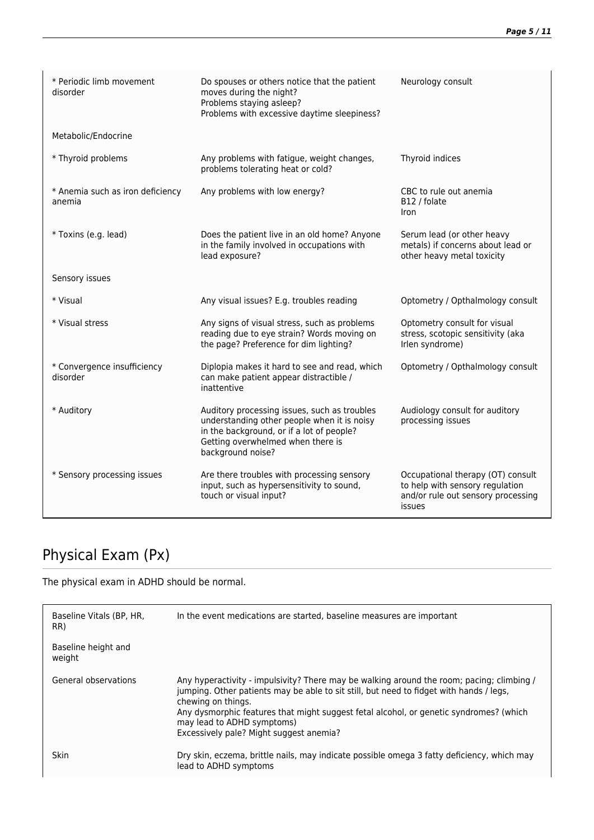| * Periodic limb movement<br>disorder       | Do spouses or others notice that the patient<br>moves during the night?<br>Problems staying asleep?<br>Problems with excessive daytime sleepiness?                                                 | Neurology consult                                                                                                    |
|--------------------------------------------|----------------------------------------------------------------------------------------------------------------------------------------------------------------------------------------------------|----------------------------------------------------------------------------------------------------------------------|
| Metabolic/Endocrine                        |                                                                                                                                                                                                    |                                                                                                                      |
| * Thyroid problems                         | Any problems with fatigue, weight changes,<br>problems tolerating heat or cold?                                                                                                                    | Thyroid indices                                                                                                      |
| * Anemia such as iron deficiency<br>anemia | Any problems with low energy?                                                                                                                                                                      | CBC to rule out anemia<br>B12 / folate<br><b>Iron</b>                                                                |
| * Toxins (e.g. lead)                       | Does the patient live in an old home? Anyone<br>in the family involved in occupations with<br>lead exposure?                                                                                       | Serum lead (or other heavy<br>metals) if concerns about lead or<br>other heavy metal toxicity                        |
| Sensory issues                             |                                                                                                                                                                                                    |                                                                                                                      |
| * Visual                                   | Any visual issues? E.g. troubles reading                                                                                                                                                           | Optometry / Opthalmology consult                                                                                     |
| * Visual stress                            | Any signs of visual stress, such as problems<br>reading due to eye strain? Words moving on<br>the page? Preference for dim lighting?                                                               | Optometry consult for visual<br>stress, scotopic sensitivity (aka<br>Irlen syndrome)                                 |
| * Convergence insufficiency<br>disorder    | Diplopia makes it hard to see and read, which<br>can make patient appear distractible /<br>inattentive                                                                                             | Optometry / Opthalmology consult                                                                                     |
| * Auditory                                 | Auditory processing issues, such as troubles<br>understanding other people when it is noisy<br>in the background, or if a lot of people?<br>Getting overwhelmed when there is<br>background noise? | Audiology consult for auditory<br>processing issues                                                                  |
| * Sensory processing issues                | Are there troubles with processing sensory<br>input, such as hypersensitivity to sound,<br>touch or visual input?                                                                                  | Occupational therapy (OT) consult<br>to help with sensory regulation<br>and/or rule out sensory processing<br>issues |

# Physical Exam (Px)

The physical exam in ADHD should be normal.

| Baseline Vitals (BP, HR,<br>RR) | In the event medications are started, baseline measures are important                                                                                                                                                                                                                                                                                                         |
|---------------------------------|-------------------------------------------------------------------------------------------------------------------------------------------------------------------------------------------------------------------------------------------------------------------------------------------------------------------------------------------------------------------------------|
| Baseline height and<br>weight   |                                                                                                                                                                                                                                                                                                                                                                               |
| General observations            | Any hyperactivity - impulsivity? There may be walking around the room; pacing; climbing /<br>jumping. Other patients may be able to sit still, but need to fidget with hands / legs,<br>chewing on things.<br>Any dysmorphic features that might suggest fetal alcohol, or genetic syndromes? (which<br>may lead to ADHD symptoms)<br>Excessively pale? Might suggest anemia? |
| <b>Skin</b>                     | Dry skin, eczema, brittle nails, may indicate possible omega 3 fatty deficiency, which may<br>lead to ADHD symptoms                                                                                                                                                                                                                                                           |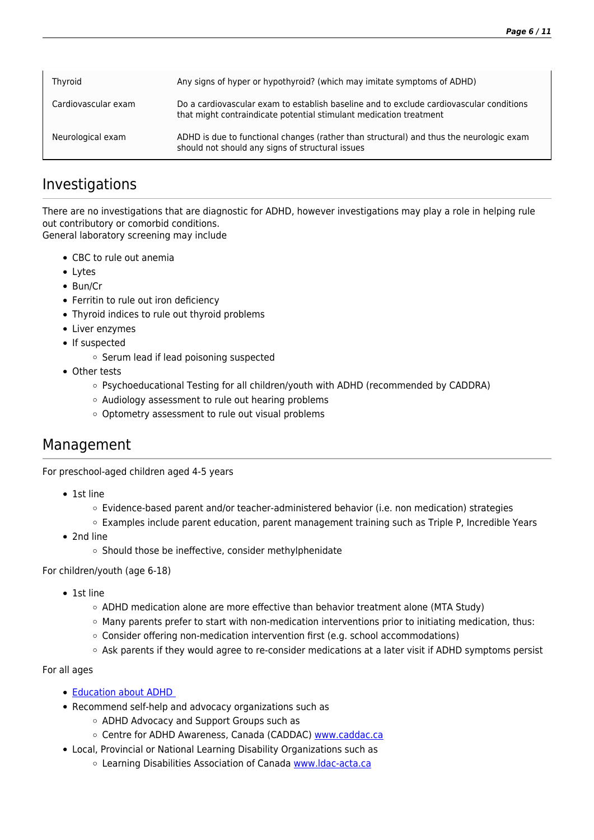| Thyroid             | Any signs of hyper or hypothyroid? (which may imitate symptoms of ADHD)                                                                                       |
|---------------------|---------------------------------------------------------------------------------------------------------------------------------------------------------------|
| Cardiovascular exam | Do a cardiovascular exam to establish baseline and to exclude cardiovascular conditions<br>that might contraindicate potential stimulant medication treatment |
| Neurological exam   | ADHD is due to functional changes (rather than structural) and thus the neurologic exam<br>should not should any signs of structural issues                   |

### Investigations

There are no investigations that are diagnostic for ADHD, however investigations may play a role in helping rule out contributory or comorbid conditions. General laboratory screening may include

- CBC to rule out anemia
- Lytes
- Bun/Cr
- Ferritin to rule out iron deficiency
- Thyroid indices to rule out thyroid problems
- Liver enzymes
- If suspected
	- o Serum lead if lead poisoning suspected
- Other tests
	- Psychoeducational Testing for all children/youth with ADHD (recommended by CADDRA)
	- Audiology assessment to rule out hearing problems
	- o Optometry assessment to rule out visual problems

### Management

For preschool-aged children aged 4-5 years

- 1st line
	- Evidence-based parent and/or teacher-administered behavior (i.e. non medication) strategies
	- o Examples include parent education, parent management training such as Triple P, Incredible Years
- 2nd line
	- o Should those be ineffective, consider methylphenidate

For children/youth (age 6-18)

- 1st line
	- $\circ$  ADHD medication alone are more effective than behavior treatment alone (MTA Study)
	- $\circ$  Many parents prefer to start with non-medication interventions prior to initiating medication, thus:
	- Consider offering non-medication intervention first (e.g. school accommodations)
	- Ask parents if they would agree to re-consider medications at a later visit if ADHD symptoms persist

#### For all ages

- [Education about ADHD](http://primarycare.ementalhealth.ca/index.php?m=fpArticle&ID=18343#parentingskillstrainingforparentingthechildwithadhd)
- Recommend self-help and advocacy organizations such as
	- ADHD Advocacy and Support Groups such as
	- o Centre for ADHD Awareness, Canada (CADDAC) [www.caddac.ca](http://www.caddac.ca)
- Local, Provincial or National Learning Disability Organizations such as
	- o Learning Disabilities Association of Canada [www.ldac-acta.ca](http://www.ldac-acta.ca)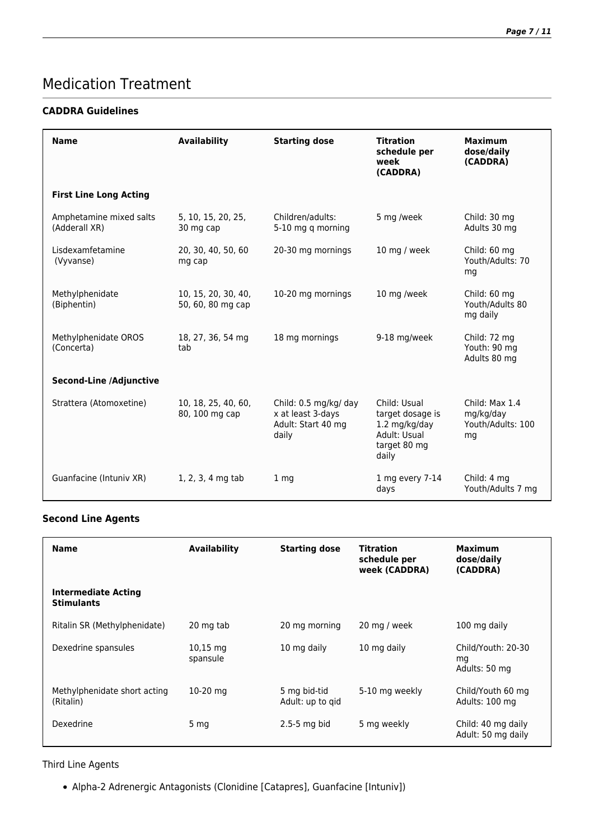### Medication Treatment

#### **CADDRA Guidelines**

| <b>Name</b>                              | <b>Availability</b>                      | <b>Starting dose</b>                                                      | <b>Titration</b><br>schedule per<br>week<br>(CADDRA)                                       | <b>Maximum</b><br>dose/daily<br>(CADDRA)               |
|------------------------------------------|------------------------------------------|---------------------------------------------------------------------------|--------------------------------------------------------------------------------------------|--------------------------------------------------------|
| <b>First Line Long Acting</b>            |                                          |                                                                           |                                                                                            |                                                        |
| Amphetamine mixed salts<br>(Adderall XR) | 5, 10, 15, 20, 25,<br>30 mg cap          | Children/adults:<br>5-10 mg q morning                                     | 5 mg /week                                                                                 | Child: 30 mg<br>Adults 30 mg                           |
| Lisdexamfetamine<br>(Vyvanse)            | 20, 30, 40, 50, 60<br>mg cap             | 20-30 mg mornings                                                         | 10 mg / week                                                                               | Child: 60 mg<br>Youth/Adults: 70<br>mg                 |
| Methylphenidate<br>(Biphentin)           | 10, 15, 20, 30, 40,<br>50, 60, 80 mg cap | 10-20 mg mornings                                                         | 10 mg /week                                                                                | Child: 60 mg<br>Youth/Adults 80<br>mg daily            |
| Methylphenidate OROS<br>(Concerta)       | 18, 27, 36, 54 mg<br>tab                 | 18 mg mornings                                                            | 9-18 mg/week                                                                               | Child: 72 mg<br>Youth: 90 mg<br>Adults 80 mg           |
| <b>Second-Line /Adjunctive</b>           |                                          |                                                                           |                                                                                            |                                                        |
| Strattera (Atomoxetine)                  | 10, 18, 25, 40, 60,<br>80, 100 mg cap    | Child: 0.5 mg/kg/ day<br>x at least 3-days<br>Adult: Start 40 mg<br>daily | Child: Usual<br>target dosage is<br>1.2 mg/kg/day<br>Adult: Usual<br>target 80 mg<br>daily | Child: Max 1.4<br>mg/kg/day<br>Youth/Adults: 100<br>mg |
| Guanfacine (Intuniv XR)                  | 1, 2, 3, 4 mg tab                        | 1 <sub>mq</sub>                                                           | 1 mg every 7-14<br>days                                                                    | Child: 4 mg<br>Youth/Adults 7 mg                       |

#### **Second Line Agents**

| <b>Name</b>                               | Availability           | <b>Starting dose</b>             | <b>Titration</b><br>schedule per<br>week (CADDRA) | <b>Maximum</b><br>dose/daily<br>(CADDRA)  |
|-------------------------------------------|------------------------|----------------------------------|---------------------------------------------------|-------------------------------------------|
| Intermediate Acting<br><b>Stimulants</b>  |                        |                                  |                                                   |                                           |
| Ritalin SR (Methylphenidate)              | 20 mg tab              | 20 mg morning                    | 20 mg / week                                      | 100 mg daily                              |
| Dexedrine spansules                       | $10,15$ mg<br>spansule | 10 mg daily                      | 10 mg daily                                       | Child/Youth: 20-30<br>mg<br>Adults: 50 mg |
| Methylphenidate short acting<br>(Ritalin) | $10-20$ mg             | 5 mg bid-tid<br>Adult: up to gid | 5-10 mg weekly                                    | Child/Youth 60 mg<br>Adults: 100 mg       |
| Dexedrine                                 | 5 <sub>mg</sub>        | $2.5 - 5$ mg bid                 | 5 mg weekly                                       | Child: 40 mg daily<br>Adult: 50 mg daily  |

#### Third Line Agents

Alpha-2 Adrenergic Antagonists (Clonidine [Catapres], Guanfacine [Intuniv])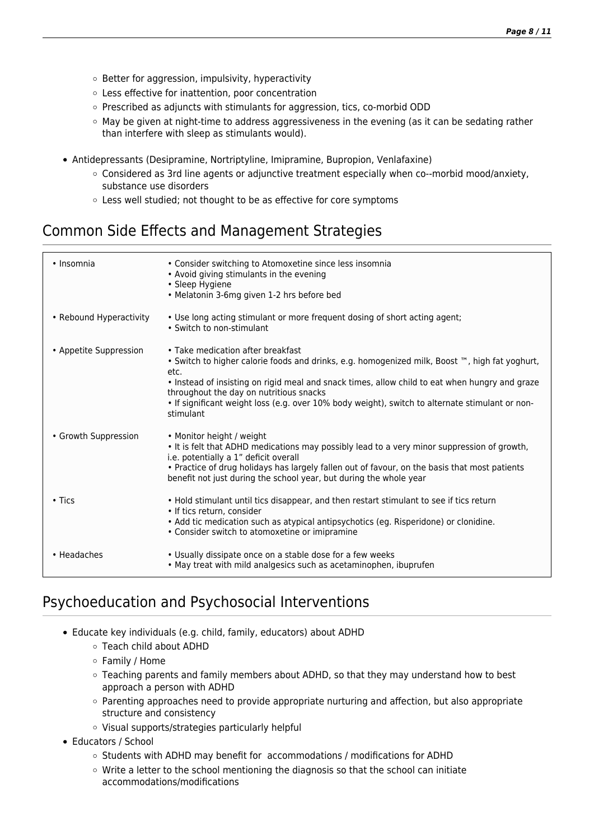- $\circ$  Better for aggression, impulsivity, hyperactivity
- Less effective for inattention, poor concentration
- Prescribed as adjuncts with stimulants for aggression, tics, co-morbid ODD
- $\circ$  May be given at night-time to address aggressiveness in the evening (as it can be sedating rather than interfere with sleep as stimulants would).
- Antidepressants (Desipramine, Nortriptyline, Imipramine, Bupropion, Venlafaxine)
	- Considered as 3rd line agents or adjunctive treatment especially when co-‐morbid mood/anxiety, substance use disorders
	- Less well studied; not thought to be as effective for core symptoms

### Common Side Effects and Management Strategies

| • Insomnia              | • Consider switching to Atomoxetine since less insomnia<br>• Avoid giving stimulants in the evening<br>• Sleep Hygiene<br>• Melatonin 3-6mg given 1-2 hrs before bed                                                                                                                                                                                                                                                 |
|-------------------------|----------------------------------------------------------------------------------------------------------------------------------------------------------------------------------------------------------------------------------------------------------------------------------------------------------------------------------------------------------------------------------------------------------------------|
| • Rebound Hyperactivity | . Use long acting stimulant or more frequent dosing of short acting agent;<br>• Switch to non-stimulant                                                                                                                                                                                                                                                                                                              |
| • Appetite Suppression  | • Take medication after breakfast<br>• Switch to higher calorie foods and drinks, e.g. homogenized milk, Boost <sup>m</sup> , high fat yoghurt,<br>etc.<br>. Instead of insisting on rigid meal and snack times, allow child to eat when hungry and graze<br>throughout the day on nutritious snacks<br>. If significant weight loss (e.g. over 10% body weight), switch to alternate stimulant or non-<br>stimulant |
| • Growth Suppression    | • Monitor height / weight<br>. It is felt that ADHD medications may possibly lead to a very minor suppression of growth,<br>i.e. potentially a 1" deficit overall<br>. Practice of drug holidays has largely fallen out of favour, on the basis that most patients<br>benefit not just during the school year, but during the whole year                                                                             |
| $\cdot$ Tics            | . Hold stimulant until tics disappear, and then restart stimulant to see if tics return<br>• If tics return, consider<br>• Add tic medication such as atypical antipsychotics (eg. Risperidone) or clonidine.<br>• Consider switch to atomoxetine or imipramine                                                                                                                                                      |
| • Headaches             | • Usually dissipate once on a stable dose for a few weeks<br>. May treat with mild analgesics such as acetaminophen, ibuprufen                                                                                                                                                                                                                                                                                       |

### Psychoeducation and Psychosocial Interventions

- Educate key individuals (e.g. child, family, educators) about ADHD
	- Teach child about ADHD
	- Family / Home
	- Teaching parents and family members about ADHD, so that they may understand how to best approach a person with ADHD
	- $\circ$  Parenting approaches need to provide appropriate nurturing and affection, but also appropriate structure and consistency
	- Visual supports/strategies particularly helpful
- Educators / School
	- $\circ$  Students with ADHD may benefit for accommodations / modifications for ADHD
	- Write a letter to the school mentioning the diagnosis so that the school can initiate accommodations/modifications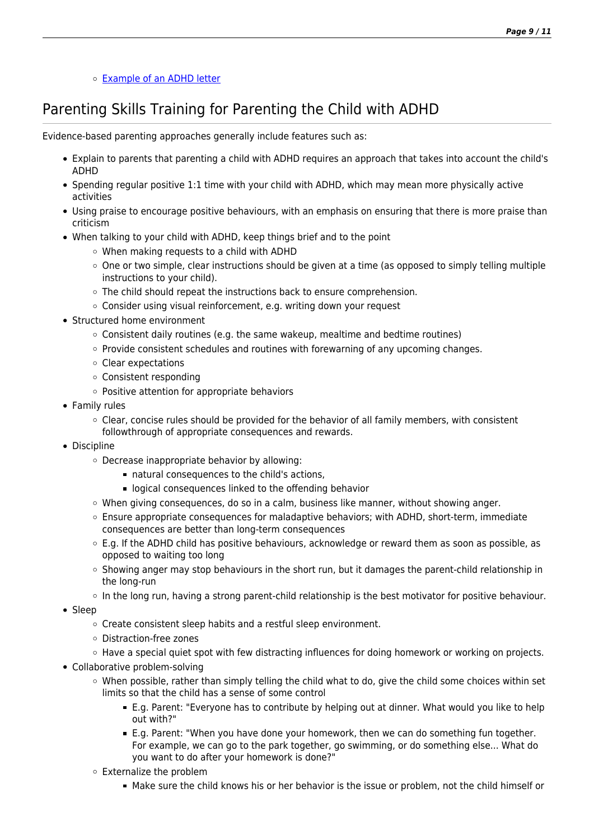#### [Example of an ADHD letter](http://www.ementalhealth.ca/16175)

### Parenting Skills Training for Parenting the Child with ADHD

Evidence-based parenting approaches generally include features such as:

- Explain to parents that parenting a child with ADHD requires an approach that takes into account the child's ADHD
- Spending regular positive 1:1 time with your child with ADHD, which may mean more physically active activities
- Using praise to encourage positive behaviours, with an emphasis on ensuring that there is more praise than criticism
- When talking to your child with ADHD, keep things brief and to the point
	- When making requests to a child with ADHD
	- $\circ$  One or two simple, clear instructions should be given at a time (as opposed to simply telling multiple instructions to your child).
	- $\circ$  The child should repeat the instructions back to ensure comprehension.
	- Consider using visual reinforcement, e.g. writing down your request
- Structured home environment
	- $\circ$  Consistent daily routines (e.g. the same wakeup, mealtime and bedtime routines)
	- $\circ$  Provide consistent schedules and routines with forewarning of any upcoming changes.
	- Clear expectations
	- Consistent responding
	- Positive attention for appropriate behaviors
- Family rules
	- $\circ$  Clear, concise rules should be provided for the behavior of all family members, with consistent followthrough of appropriate consequences and rewards.
- Discipline
	- Decrease inappropriate behavior by allowing:
		- natural consequences to the child's actions,
		- **Democration** logical consequences linked to the offending behavior
	- When giving consequences, do so in a calm, business like manner, without showing anger.
	- Ensure appropriate consequences for maladaptive behaviors; with ADHD, short-term, immediate consequences are better than long-term consequences
	- $\circ$  E.g. If the ADHD child has positive behaviours, acknowledge or reward them as soon as possible, as opposed to waiting too long
	- $\circ$  Showing anger may stop behaviours in the short run, but it damages the parent-child relationship in the long-run
	- In the long run, having a strong parent-child relationship is the best motivator for positive behaviour.
- Sleep
	- $\circ$  Create consistent sleep habits and a restful sleep environment.
	- Distraction-free zones
	- $\circ$  Have a special quiet spot with few distracting influences for doing homework or working on projects.
- Collaborative problem-solving
	- When possible, rather than simply telling the child what to do, give the child some choices within set limits so that the child has a sense of some control
		- E.g. Parent: "Everyone has to contribute by helping out at dinner. What would you like to help out with?"
		- E.g. Parent: "When you have done your homework, then we can do something fun together. For example, we can go to the park together, go swimming, or do something else... What do you want to do after your homework is done?"
	- Externalize the problem
		- Make sure the child knows his or her behavior is the issue or problem, not the child himself or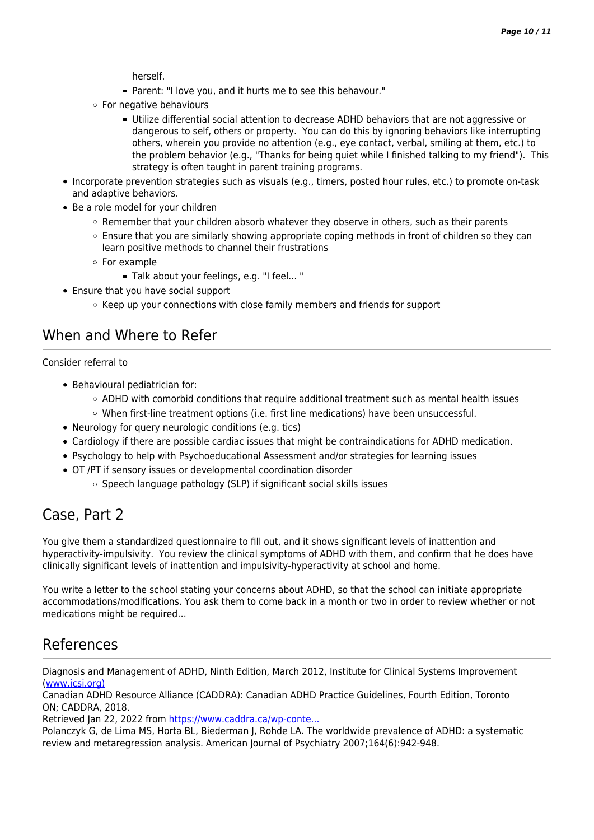herself.

- Parent: "I love you, and it hurts me to see this behavour."
- For negative behaviours
	- Utilize differential social attention to decrease ADHD behaviors that are not aggressive or dangerous to self, others or property. You can do this by ignoring behaviors like interrupting others, wherein you provide no attention (e.g., eye contact, verbal, smiling at them, etc.) to the problem behavior (e.g., "Thanks for being quiet while I finished talking to my friend"). This strategy is often taught in parent training programs.
- Incorporate prevention strategies such as visuals (e.g., timers, posted hour rules, etc.) to promote on-task and adaptive behaviors.
- Be a role model for your children
	- $\circ$  Remember that your children absorb whatever they observe in others, such as their parents
	- $\circ$  Ensure that you are similarly showing appropriate coping methods in front of children so they can learn positive methods to channel their frustrations
	- For example
		- Talk about your feelings, e.g. "I feel... "
- Ensure that you have social support
	- $\circ$  Keep up your connections with close family members and friends for support

### When and Where to Refer

Consider referral to

- Behavioural pediatrician for:
	- $\circ$  ADHD with comorbid conditions that require additional treatment such as mental health issues
	- $\circ$  When first-line treatment options (i.e. first line medications) have been unsuccessful.
- Neurology for query neurologic conditions (e.g. tics)
- Cardiology if there are possible cardiac issues that might be contraindications for ADHD medication.
- Psychology to help with Psychoeducational Assessment and/or strategies for learning issues
- OT /PT if sensory issues or developmental coordination disorder
	- o Speech language pathology (SLP) if significant social skills issues

### Case, Part 2

You give them a standardized questionnaire to fill out, and it shows significant levels of inattention and hyperactivity-impulsivity. You review the clinical symptoms of ADHD with them, and confirm that he does have clinically significant levels of inattention and impulsivity-hyperactivity at school and home.

You write a letter to the school stating your concerns about ADHD, so that the school can initiate appropriate accommodations/modifications. You ask them to come back in a month or two in order to review whether or not medications might be required…

### References

Diagnosis and Management of ADHD, Ninth Edition, March 2012, Institute for Clinical Systems Improvement ([www.icsi.org\)](http://www.icsi.org))

Canadian ADHD Resource Alliance (CADDRA): Canadian ADHD Practice Guidelines, Fourth Edition, Toronto ON; CADDRA, 2018.

Retrieved Jan 22, 2022 from [https://www.caddra.ca/wp-conte...](https://www.caddra.ca/wp-content/home/ementalhealth/ementalhealth.ca/frontend/uploads/CADDRA-Guidelines-4th-Edition_-Feb2018.pdf)

Polanczyk G, de Lima MS, Horta BL, Biederman J, Rohde LA. The worldwide prevalence of ADHD: a systematic review and metaregression analysis. American Journal of Psychiatry 2007;164(6):942-948.